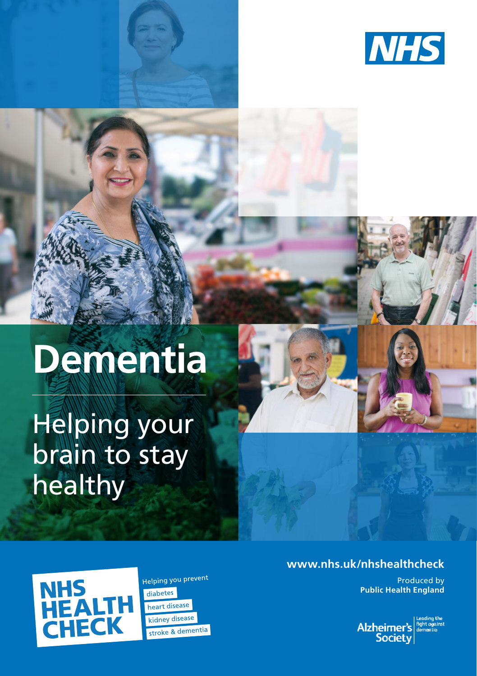

# **Dementia**

Helping your brain to stay healthy



Helping you prevent diabetes heart disease kidney disease stroke & dementia

#### **www.nhs.uk/nhshealthcheck**

Produced by **Public Health England**

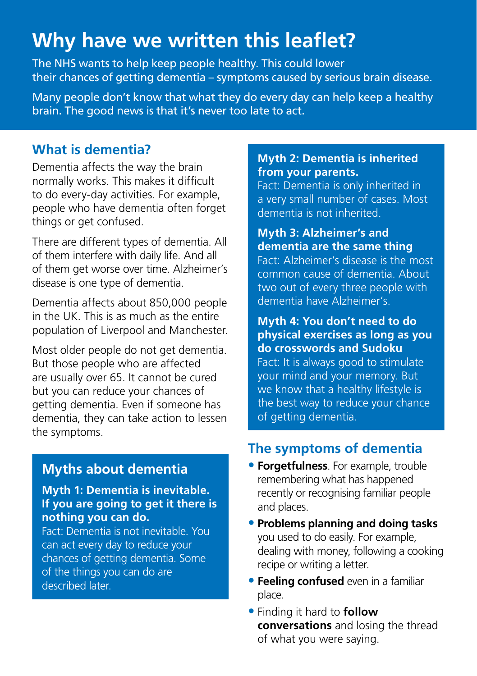## **Why have we written this leaflet?**

The NHS wants to help keep people healthy. This could lower their chances of getting dementia – symptoms caused by serious brain disease.

Many people don't know that what they do every day can help keep a healthy brain. The good news is that it's never too late to act.

## **What is dementia?**

Dementia affects the way the brain normally works. This makes it difficult to do every-day activities. For example, people who have dementia often forget things or get confused.

There are different types of dementia. All of them interfere with daily life. And all of them get worse over time. Alzheimer's disease is one type of dementia.

Dementia affects about 850,000 people in the UK. This is as much as the entire population of Liverpool and Manchester.

Most older people do not get dementia. But those people who are affected are usually over 65. It cannot be cured but you can reduce your chances of getting dementia. Even if someone has dementia, they can take action to lessen the symptoms.

## **Myths about dementia**

**Myth 1: Dementia is inevitable. If you are going to get it there is nothing you can do.**

Fact: Dementia is not inevitable. You can act every day to reduce your chances of getting dementia. Some of the things you can do are described later.

#### **Myth 2: Dementia is inherited from your parents.**

Fact: Dementia is only inherited in a very small number of cases. Most dementia is not inherited.

## **Myth 3: Alzheimer's and dementia are the same thing**

Fact: Alzheimer's disease is the most common cause of dementia. About two out of every three people with dementia have Alzheimer's.

## **Myth 4: You don't need to do physical exercises as long as you do crosswords and Sudoku**

Fact: It is always good to stimulate your mind and your memory. But we know that a healthy lifestyle is the best way to reduce your chance of getting dementia.

## **The symptoms of dementia**

- **• Forgetfulness**. For example, trouble remembering what has happened recently or recognising familiar people and places.
- **• Problems planning and doing tasks**  you used to do easily. For example, dealing with money, following a cooking recipe or writing a letter.
- **• Feeling confused** even in a familiar place.
- **•** Finding it hard to **follow conversations** and losing the thread of what you were saying.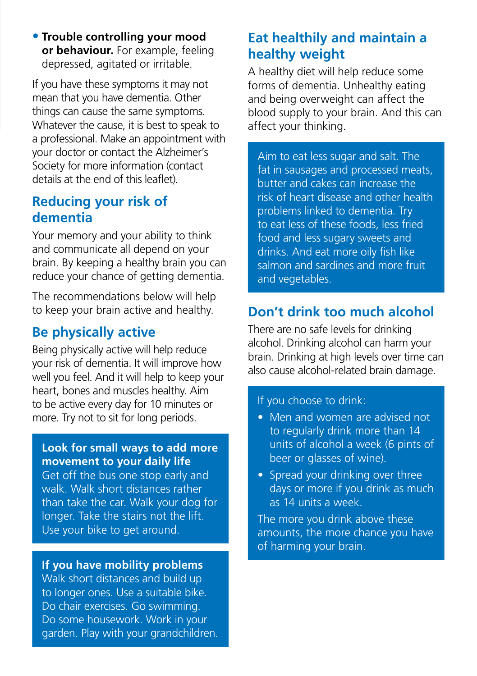**• Trouble controlling your mood or behaviour.** For example, feeling depressed, agitated or irritable.

If you have these symptoms it may not mean that you have dementia. Other things can cause the same symptoms. Whatever the cause, it is best to speak to a professional. Make an appointment with your doctor or contact the Alzheimer's Society for more information (contact details at the end of this leaflet).

## **Reducing your risk of dementia**

Your memory and your ability to think and communicate all depend on your brain. By keeping a healthy brain you can reduce your chance of getting dementia.

The recommendations below will help to keep your brain active and healthy.

## **Be physically active**

Being physically active will help reduce your risk of dementia. It will improve how well you feel. And it will help to keep your heart, bones and muscles healthy. Aim to be active every day for 10 minutes or more. Try not to sit for long periods.

#### **Look for small ways to add more movement to your daily life**

Get off the bus one stop early and walk. Walk short distances rather than take the car. Walk your dog for longer. Take the stairs not the lift. Use your bike to get around.

#### **If you have mobility problems**

Walk short distances and build up to longer ones. Use a suitable bike. Do chair exercises. Go swimming. Do some housework. Work in your garden. Play with your grandchildren.

## **Eat healthily and maintain a healthy weight**

A healthy diet will help reduce some forms of dementia. Unhealthy eating and being overweight can affect the blood supply to your brain. And this can affect your thinking.

Aim to eat less sugar and salt. The fat in sausages and processed meats, butter and cakes can increase the risk of heart disease and other health problems linked to dementia. Try to eat less of these foods, less fried food and less sugary sweets and drinks. And eat more oily fish like salmon and sardines and more fruit and vegetables.

## **Don't drink too much alcohol**

There are no safe levels for drinking alcohol. Drinking alcohol can harm your brain. Drinking at high levels over time can also cause alcohol-related brain damage.

#### If you choose to drink:

- Men and women are advised not to regularly drink more than 14 units of alcohol a week (6 pints of beer or glasses of wine).
- Spread your drinking over three days or more if you drink as much as 14 units a week.

The more you drink above these amounts, the more chance you have of harming your brain.